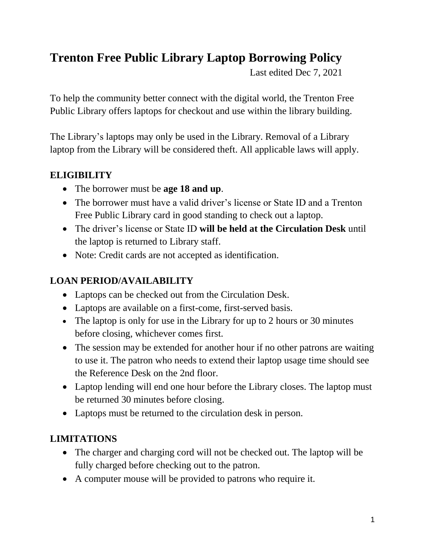# **Trenton Free Public Library Laptop Borrowing Policy**

Last edited Dec 7, 2021

To help the community better connect with the digital world, the Trenton Free Public Library offers laptops for checkout and use within the library building.

The Library's laptops may only be used in the Library. Removal of a Library laptop from the Library will be considered theft. All applicable laws will apply.

#### **ELIGIBILITY**

- The borrower must be **age 18 and up**.
- The borrower must have a valid driver's license or State ID and a Trenton Free Public Library card in good standing to check out a laptop.
- The driver's license or State ID **will be held at the Circulation Desk** until the laptop is returned to Library staff.
- Note: Credit cards are not accepted as identification.

## **LOAN PERIOD/AVAILABILITY**

- Laptops can be checked out from the Circulation Desk.
- Laptops are available on a first-come, first-served basis.
- The laptop is only for use in the Library for up to 2 hours or 30 minutes before closing, whichever comes first.
- The session may be extended for another hour if no other patrons are waiting to use it. The patron who needs to extend their laptop usage time should see the Reference Desk on the 2nd floor.
- Laptop lending will end one hour before the Library closes. The laptop must be returned 30 minutes before closing.
- Laptops must be returned to the circulation desk in person.

## **LIMITATIONS**

- The charger and charging cord will not be checked out. The laptop will be fully charged before checking out to the patron.
- A computer mouse will be provided to patrons who require it.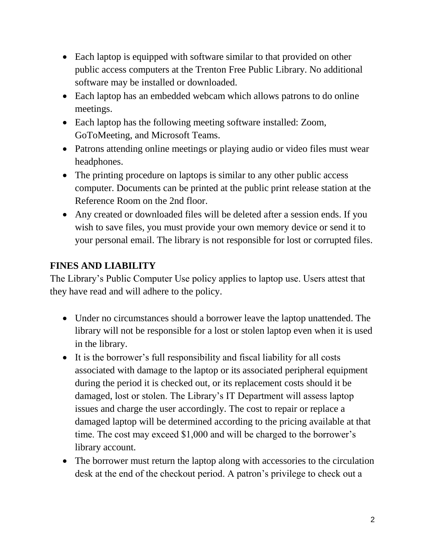- Each laptop is equipped with software similar to that provided on other public access computers at the Trenton Free Public Library. No additional software may be installed or downloaded.
- Each laptop has an embedded webcam which allows patrons to do online meetings.
- Each laptop has the following meeting software installed: Zoom, GoToMeeting, and Microsoft Teams.
- Patrons attending online meetings or playing audio or video files must wear headphones.
- The printing procedure on laptops is similar to any other public access computer. Documents can be printed at the public print release station at the Reference Room on the 2nd floor.
- Any created or downloaded files will be deleted after a session ends. If you wish to save files, you must provide your own memory device or send it to your personal email. The library is not responsible for lost or corrupted files.

#### **FINES AND LIABILITY**

The Library's Public Computer Use policy applies to laptop use. Users attest that they have read and will adhere to the policy.

- Under no circumstances should a borrower leave the laptop unattended. The library will not be responsible for a lost or stolen laptop even when it is used in the library.
- It is the borrower's full responsibility and fiscal liability for all costs associated with damage to the laptop or its associated peripheral equipment during the period it is checked out, or its replacement costs should it be damaged, lost or stolen. The Library's IT Department will assess laptop issues and charge the user accordingly. The cost to repair or replace a damaged laptop will be determined according to the pricing available at that time. The cost may exceed \$1,000 and will be charged to the borrower's library account.
- The borrower must return the laptop along with accessories to the circulation desk at the end of the checkout period. A patron's privilege to check out a